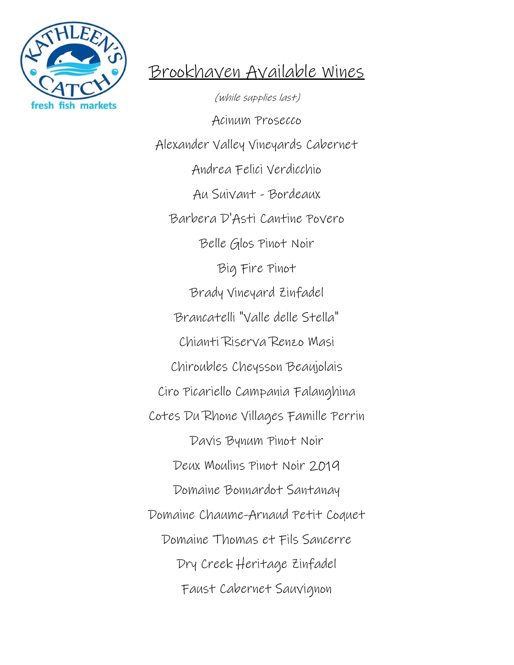

## Brookhaven Available Wines

(while supplies last) Acinum Prosecco Alexander Valley Vineyards Cabernet Andrea Felici Verdicchio Au Suivant - Bordeaux Barbera D'Asti Cantine Povero Belle Glos Pinot Noir Big Fire Pinot Brady Vineyard Zinfadel Brancatelli "Valle delle Stella" Chianti Riserva Renzo Masi Chiroubles Cheysson Beaujolais Ciro Picariello Campania Falanghina Cotes Du Rhone Villages Famille Perrin Davis Bynum Pinot Noir Deux Moulins Pinot Noir 2019 Domaine Bonnardot Santanay Domaine Chaume-Arnaud Petit Coquet Domaine Thomas et Fils Sancerre Dry Creek Heritage Zinfadel Faust Cabernet Sauvignon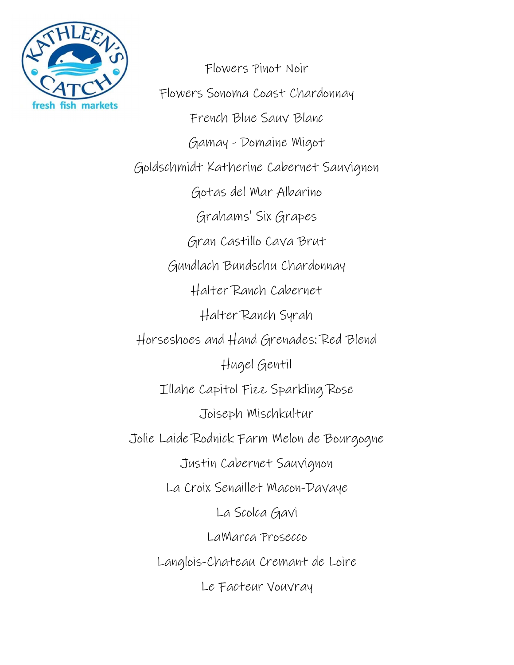

Flowers Pinot Noir Flowers Sonoma Coast Chardonnay French Blue Sauv Blanc Gamay - Domaine Migot Goldschmidt Katherine Cabernet Sauvignon Gotas del Mar Albarino Grahams' Six Grapes Gran Castillo Cava Brut Gundlach Bundschu Chardonnay Halter Ranch Cabernet Halter Ranch Syrah Horseshoes and Hand Grenades: Red Blend Hugel Gentil Illahe Capitol Fizz Sparkling Rose Joiseph Mischkultur Jolie Laide Rodnick Farm Melon de Bourgogne Justin Cabernet Sauvignon La Croix Senaillet Macon-Davaye La Scolca Gavi LaMarca Prosecco Langlois-Chateau Cremant de Loire Le Facteur Vouvray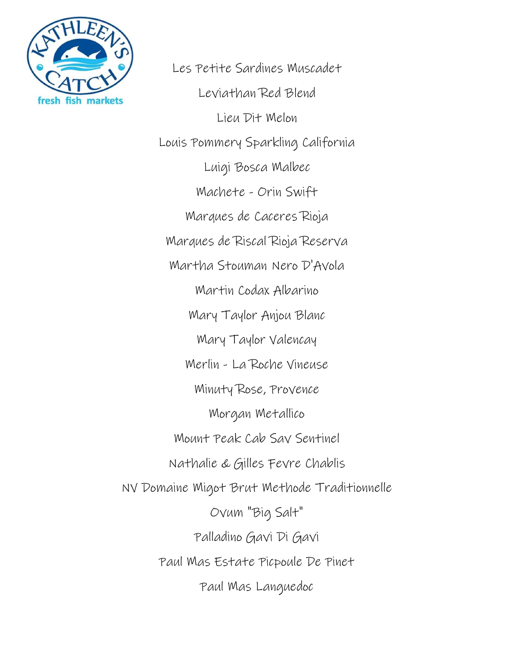

Les Petite Sardines Muscadet Leviathan Red Blend Lieu Dit Melon Louis Pommery Sparkling California Luigi Bosca Malbec Machete - Orin Swift Marques de Caceres Rioja Marques de Riscal Rioja Reserva Martha Stouman Nero D'Avola Martin Codax Albarino Mary Taylor Anjou Blanc Mary Taylor Valencay Merlin - La Roche Vineuse Minuty Rose, Provence Morgan Metallico Mount Peak Cab Sav Sentinel Nathalie & Gilles Fevre Chablis NV Domaine Migot Brut Methode Traditionnelle Ovum "Big Salt" Palladino Gavi Di Gavi Paul Mas Estate Picpoule De Pinet Paul Mas Languedoc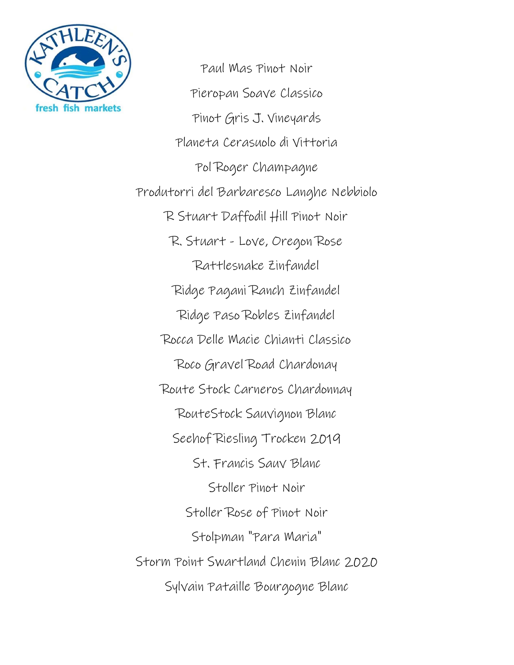

Paul Mas Pinot Noir Pieropan Soave Classico Pinot Gris J. Vineyards Planeta Cerasuolo di Vittoria Pol Roger Champagne Produtorri del Barbaresco Langhe Nebbiolo R Stuart Daffodil Hill Pinot Noir R. Stuart - Love, Oregon Rose Rattlesnake Zinfandel Ridge Pagani Ranch Zinfandel Ridge Paso Robles Zinfandel Rocca Delle Macie Chianti Classico Roco Gravel Road Chardonay Route Stock Carneros Chardonnay RouteStock Sauvignon Blanc Seehof Riesling Trocken 2019 St. Francis Sauv Blanc Stoller Pinot Noir Stoller Rose of Pinot Noir Stolpman "Para Maria" Storm Point Swartland Chenin Blanc 2020 Sylvain Pataille Bourgogne Blanc